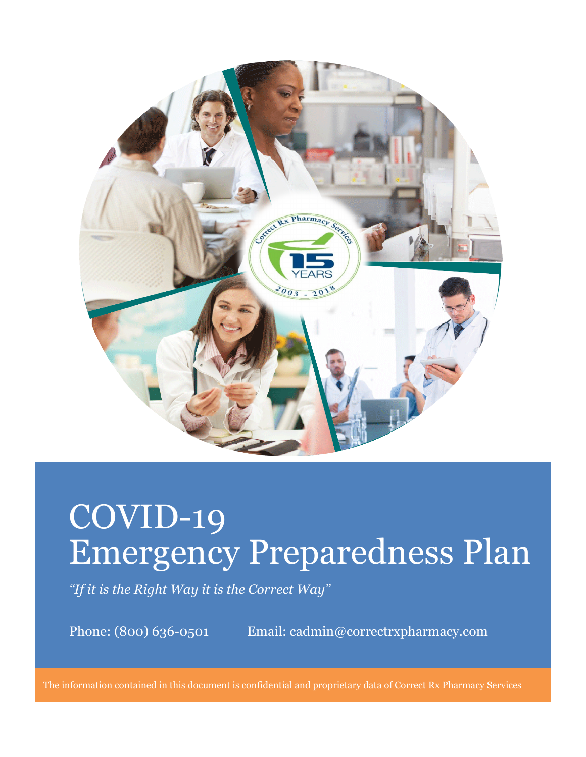

# COVID-19 Emergency Preparedness Plan

*"If it is the Right Way it is the Correct Way"*

Phone: (800) 636-0501 Email: cadmin@correctrxpharmacy.com

The information contained in this document is confidential and proprietary data of Correct Rx Pharmacy Services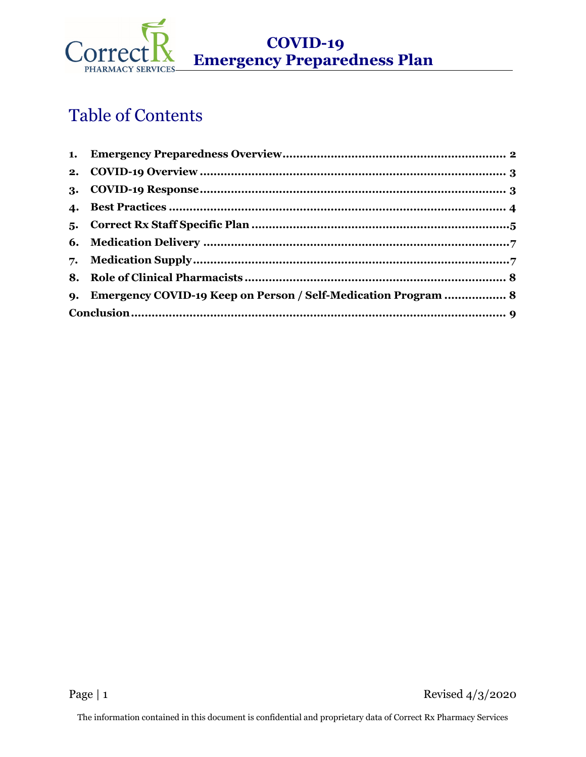

 **COVID-19 Emergency Preparedness Plan** 

## Table of Contents

| 9. Emergency COVID-19 Keep on Person / Self-Medication Program  8 |  |
|-------------------------------------------------------------------|--|
|                                                                   |  |
|                                                                   |  |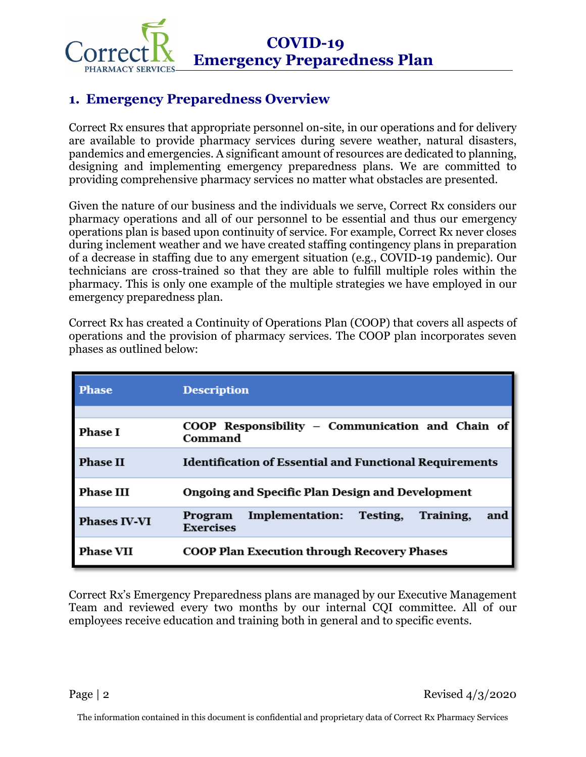

## <span id="page-2-0"></span>**1. Emergency Preparedness Overview**

Correct Rx ensures that appropriate personnel on-site, in our operations and for delivery are available to provide pharmacy services during severe weather, natural disasters, pandemics and emergencies. A significant amount of resources are dedicated to planning, designing and implementing emergency preparedness plans. We are committed to providing comprehensive pharmacy services no matter what obstacles are presented.

Given the nature of our business and the individuals we serve, Correct Rx considers our pharmacy operations and all of our personnel to be essential and thus our emergency operations plan is based upon continuity of service. For example, Correct Rx never closes during inclement weather and we have created staffing contingency plans in preparation of a decrease in staffing due to any emergent situation (e.g., COVID-19 pandemic). Our technicians are cross-trained so that they are able to fulfill multiple roles within the pharmacy. This is only one example of the multiple strategies we have employed in our emergency preparedness plan.

Correct Rx has created a Continuity of Operations Plan (COOP) that covers all aspects of operations and the provision of pharmacy services. The COOP plan incorporates seven phases as outlined below:

| Phase               | <b>Description</b>                                                             |
|---------------------|--------------------------------------------------------------------------------|
|                     |                                                                                |
| <b>Phase I</b>      | COOP Responsibility - Communication and Chain of<br>Command                    |
| <b>Phase II</b>     | <b>Identification of Essential and Functional Requirements</b>                 |
| <b>Phase III</b>    | Ongoing and Specific Plan Design and Development                               |
| <b>Phases IV-VI</b> | Implementation:<br>Testing,<br>Training,<br>Program<br>and<br><b>Exercises</b> |
| <b>Phase VII</b>    | <b>COOP Plan Execution through Recovery Phases</b>                             |

Correct Rx's Emergency Preparedness plans are managed by our Executive Management Team and reviewed every two months by our internal CQI committee. All of our employees receive education and training both in general and to specific events.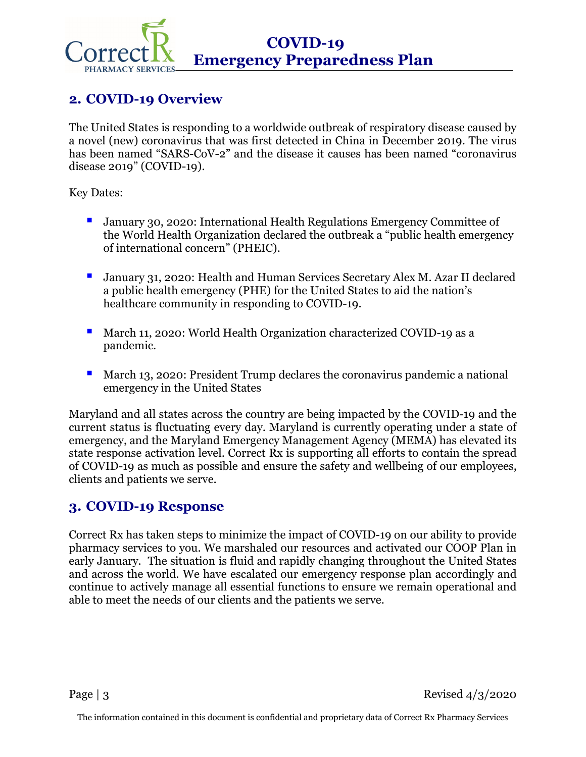

## <span id="page-3-0"></span>**2. COVID-19 Overview**

The United States is responding to a worldwide outbreak of respiratory disease caused by a novel (new) coronavirus that was first detected in China in December 2019. The virus has been named "SARS-CoV-2" and the disease it causes has been named "coronavirus disease 2019" (COVID-19).

Key Dates:

- January 30, 2020: International Health Regulations Emergency Committee of the World Health Organization declared the outbreak a ["public health emergency](https://www.who.int/news-room/detail/30-01-2020-statement-on-the-second-meeting-of-the-international-health-regulations-%282005%29-emergency-committee-regarding-the-outbreak-of-novel-coronavirus-%282019-ncov%29)  [of international concern"](https://www.who.int/news-room/detail/30-01-2020-statement-on-the-second-meeting-of-the-international-health-regulations-%282005%29-emergency-committee-regarding-the-outbreak-of-novel-coronavirus-%282019-ncov%29) (PHEIC).
- **January 31, 2020: Health and Human Services Secretary Alex M. Azar II declared** a public health emergency (PHE) for the United States to aid the nation's healthcare community in responding to COVID-19.
- **March 11, 2020: [World Health Organization](https://www.who.int/dg/speeches/detail/who-director-general-s-opening-remarks-at-the-media-briefing-on-covid-19---11-march-2020) characterized COVID-19 as a** pandemic.
- **March 13, 2020: President Trump declares the coronavirus pandemic a national** emergency in the United States

Maryland and all states across the country are being impacted by the COVID-19 and the current status is fluctuating every day. Maryland is currently operating under a state of emergency, and the Maryland Emergency Management Agency (MEMA) has elevated its state response activation level. Correct Rx is supporting all efforts to contain the spread of COVID-19 as much as possible and ensure the safety and wellbeing of our employees, clients and patients we serve.

## <span id="page-3-1"></span>**3. COVID-19 Response**

Correct Rx has taken steps to minimize the impact of COVID-19 on our ability to provide pharmacy services to you. We marshaled our resources and activated our COOP Plan in early January. The situation is fluid and rapidly changing throughout the United States and across the world. We have escalated our emergency response plan accordingly and continue to actively manage all essential functions to ensure we remain operational and able to meet the needs of our clients and the patients we serve.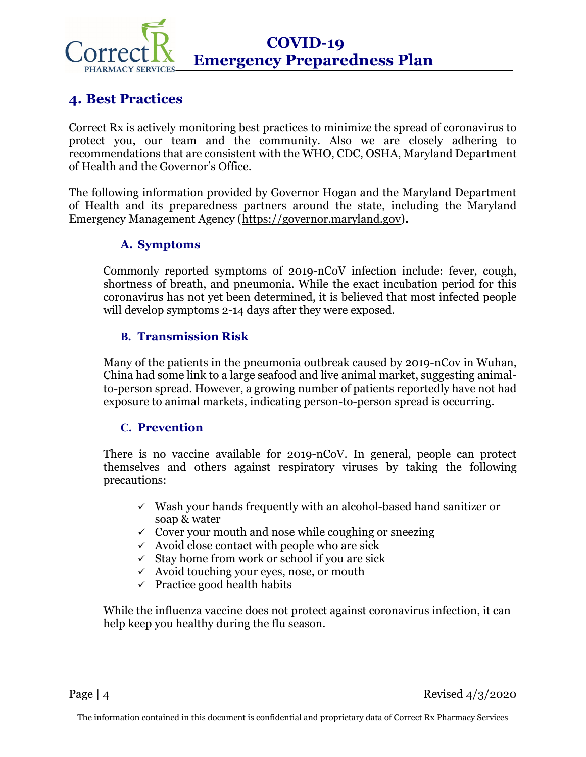

## <span id="page-4-0"></span>**4. Best Practices**

Correct Rx is actively monitoring best practices to minimize the spread of coronavirus to protect you, our team and the community. Also we are closely adhering to recommendations that are consistent with the WHO, CDC, OSHA, Maryland Department of Health and the Governor's Office.

The following information provided by Governor Hogan and the Maryland Department of Health and its preparedness partners around the state, including the Maryland Emergency Management Agency [\(https://governor.maryland.gov\)](https://governor.maryland.gov/)**.**

#### **A. Symptoms**

Commonly reported symptoms of 2019-nCoV infection include: fever, cough, shortness of breath, and pneumonia. While the exact incubation period for this coronavirus has not yet been determined, it is believed that most infected people will develop symptoms 2-14 days after they were exposed.

#### **B. Transmission Risk**

Many of the patients in the pneumonia outbreak caused by 2019-nCov in Wuhan, China had some link to a large seafood and live animal market, suggesting animalto-person spread. However, a growing number of patients reportedly have not had exposure to animal markets, indicating person-to-person spread is occurring.

#### **C. Prevention**

There is no vaccine available for 2019-nCoV. In general, people can protect themselves and others against respiratory viruses by taking the following precautions:

- $\checkmark$  Wash your hands frequently with an alcohol-based hand sanitizer or soap & water
- $\checkmark$  Cover your mouth and nose while coughing or sneezing
- $\checkmark$  Avoid close contact with people who are sick
- $\checkmark$  Stay home from work or school if you are sick
- $\checkmark$  Avoid touching your eyes, nose, or mouth
- $\checkmark$  Practice good health habits

While the influenza vaccine does not protect against coronavirus infection, it can help keep you healthy during the flu season.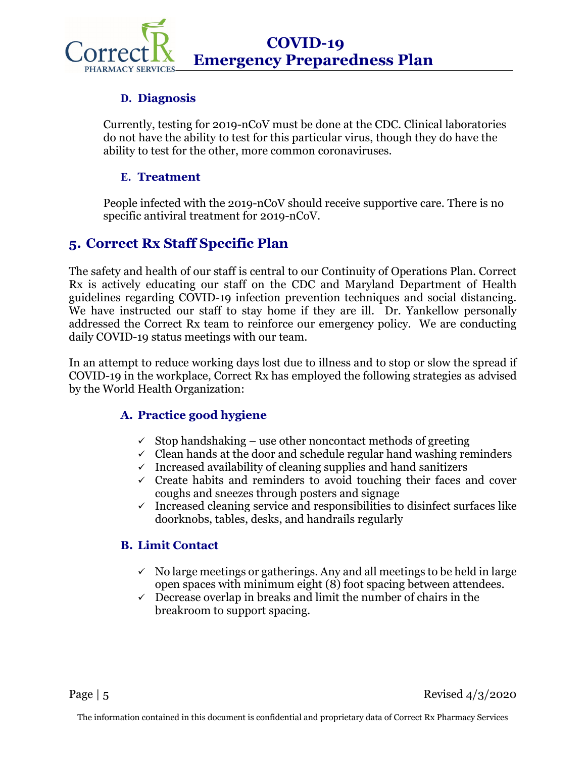**COVID-19 Emergency Preparedness Plan**

#### **D. Diagnosis**

Currently, testing for 2019-nCoV must be done at the CDC. Clinical laboratories do not have the ability to test for this particular virus, though they do have the ability to test for the other, more common coronaviruses.

#### **E. Treatment**

People infected with the 2019-nCoV should receive supportive care. There is no specific antiviral treatment for 2019-nCoV.

#### <span id="page-5-0"></span>**5. Correct Rx Staff Specific Plan**

The safety and health of our staff is central to our Continuity of Operations Plan. Correct Rx is actively educating our staff on the CDC and Maryland Department of Health guidelines regarding COVID-19 infection prevention techniques and social distancing. We have instructed our staff to stay home if they are ill. Dr. Yankellow personally addressed the Correct Rx team to reinforce our emergency policy. We are conducting daily COVID-19 status meetings with our team.

In an attempt to reduce working days lost due to illness and to stop or slow the spread if COVID-19 in the workplace, Correct Rx has employed the following strategies as advised by the World Health Organization:

#### **A. Practice good hygiene**

- $\checkmark$  Stop handshaking use other noncontact methods of greeting
- $\checkmark$  Clean hands at the door and schedule regular hand washing reminders
- $\checkmark$  Increased availability of cleaning supplies and hand sanitizers
- $\checkmark$  Create habits and reminders to avoid touching their faces and cover coughs and sneezes through posters and signage
- $\checkmark$  Increased cleaning service and responsibilities to disinfect surfaces like doorknobs, tables, desks, and handrails regularly

#### **B. Limit Contact**

- $\checkmark$  No large meetings or gatherings. Any and all meetings to be held in large open spaces with minimum eight (8) foot spacing between attendees.
- $\checkmark$  Decrease overlap in breaks and limit the number of chairs in the breakroom to support spacing.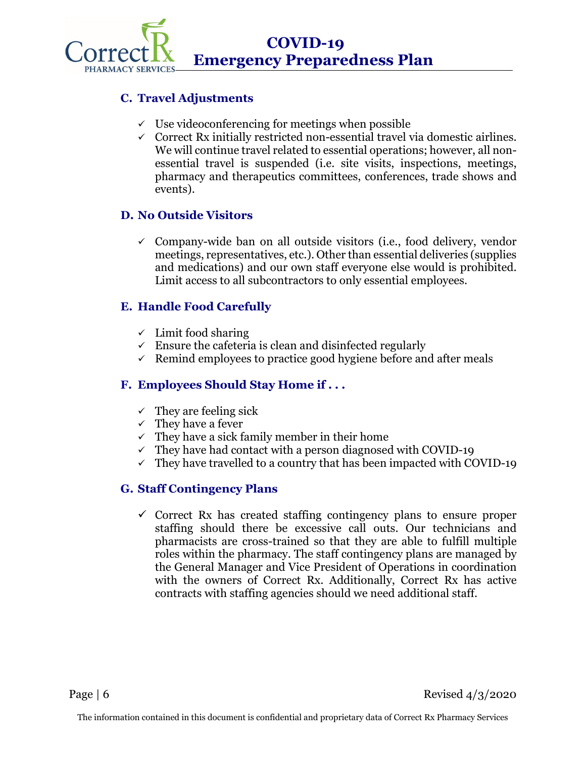

#### **C. Travel Adjustments**

- $\checkmark$  Use videoconferencing for meetings when possible
- $\checkmark$  Correct Rx initially restricted non-essential travel via domestic airlines. We will continue travel related to essential operations; however, all nonessential travel is suspended (i.e. site visits, inspections, meetings, pharmacy and therapeutics committees, conferences, trade shows and events).

#### **D. No Outside Visitors**

 $\checkmark$  Company-wide ban on all outside visitors (i.e., food delivery, vendor meetings, representatives, etc.). Other than essential deliveries (supplies and medications) and our own staff everyone else would is prohibited. Limit access to all subcontractors to only essential employees.

#### **E. Handle Food Carefully**

- $\checkmark$  Limit food sharing
- $\checkmark$  Ensure the cafeteria is clean and disinfected regularly
- $\checkmark$  Remind employees to practice good hygiene before and after meals

#### **F. Employees Should Stay Home if . . .**

- $\checkmark$  They are feeling sick
- $\checkmark$  They have a fever
- $\checkmark$  They have a sick family member in their home
- $\checkmark$  They have had contact with a person diagnosed with COVID-19
- $\checkmark$  They have travelled to a country that has been impacted with COVID-19

#### **G. Staff Contingency Plans**

 $\checkmark$  Correct Rx has created staffing contingency plans to ensure proper staffing should there be excessive call outs. Our technicians and pharmacists are cross-trained so that they are able to fulfill multiple roles within the pharmacy. The staff contingency plans are managed by the General Manager and Vice President of Operations in coordination with the owners of Correct Rx. Additionally, Correct Rx has active contracts with staffing agencies should we need additional staff.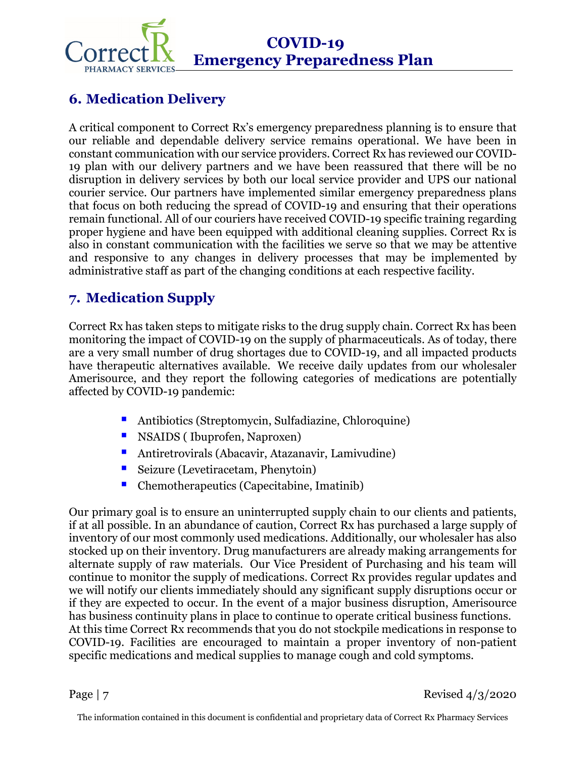

## **COVID-19 Emergency Preparedness Plan**

## <span id="page-7-0"></span>**6. Medication Delivery**

A critical component to Correct Rx's emergency preparedness planning is to ensure that our reliable and dependable delivery service remains operational. We have been in constant communication with our service providers. Correct Rx has reviewed our COVID-19 plan with our delivery partners and we have been reassured that there will be no disruption in delivery services by both our local service provider and UPS our national courier service. Our partners have implemented similar emergency preparedness plans that focus on both reducing the spread of COVID-19 and ensuring that their operations remain functional. All of our couriers have received COVID-19 specific training regarding proper hygiene and have been equipped with additional cleaning supplies. Correct Rx is also in constant communication with the facilities we serve so that we may be attentive and responsive to any changes in delivery processes that may be implemented by administrative staff as part of the changing conditions at each respective facility.

## <span id="page-7-1"></span>**7. Medication Supply**

Correct Rx has taken steps to mitigate risks to the drug supply chain. Correct Rx has been monitoring the impact of COVID-19 on the supply of pharmaceuticals. As of today, there are a very small number of drug shortages due to COVID-19, and all impacted products have therapeutic alternatives available. We receive daily updates from our wholesaler Amerisource, and they report the following categories of medications are potentially affected by COVID-19 pandemic:

- Antibiotics (Streptomycin, Sulfadiazine, Chloroquine)
- **NSAIDS** ( Ibuprofen, Naproxen)
- Antiretrovirals (Abacavir, Atazanavir, Lamivudine)
- Seizure (Levetiracetam, Phenytoin)
- Chemotherapeutics (Capecitabine, Imatinib)

Our primary goal is to ensure an uninterrupted supply chain to our clients and patients, if at all possible. In an abundance of caution, Correct Rx has purchased a large supply of inventory of our most commonly used medications. Additionally, our wholesaler has also stocked up on their inventory. Drug manufacturers are already making arrangements for alternate supply of raw materials. Our Vice President of Purchasing and his team will continue to monitor the supply of medications. Correct Rx provides regular updates and we will notify our clients immediately should any significant supply disruptions occur or if they are expected to occur. In the event of a major business disruption, Amerisource has business continuity plans in place to continue to operate critical business functions. At this time Correct Rx recommends that you do not stockpile medications in response to COVID-19. Facilities are encouraged to maintain a proper inventory of non-patient specific medications and medical supplies to manage cough and cold symptoms.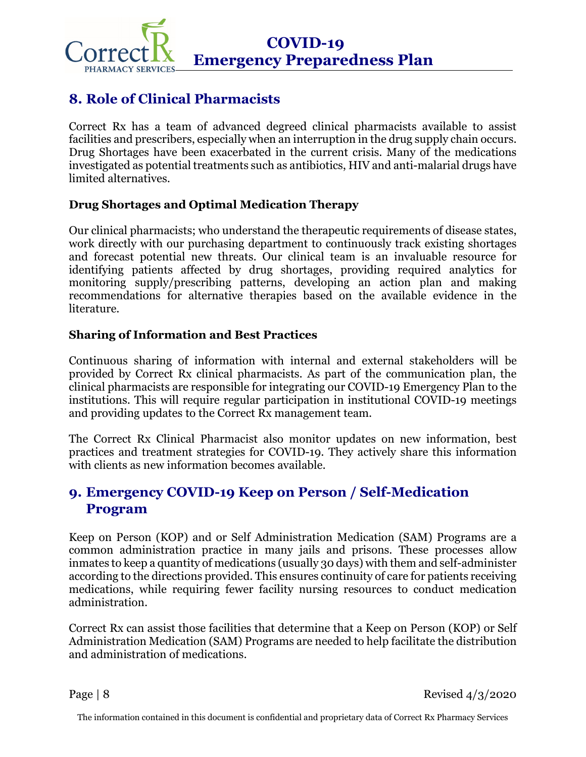

## <span id="page-8-0"></span>**8. Role of Clinical Pharmacists**

Correct Rx has a team of advanced degreed clinical pharmacists available to assist facilities and prescribers, especially when an interruption in the drug supply chain occurs. Drug Shortages have been exacerbated in the current crisis. Many of the medications investigated as potential treatments such as antibiotics, HIV and anti-malarial drugs have limited alternatives.

#### **Drug Shortages and Optimal Medication Therapy**

Our clinical pharmacists; who understand the therapeutic requirements of disease states, work directly with our purchasing department to continuously track existing shortages and forecast potential new threats. Our clinical team is an invaluable resource for identifying patients affected by drug shortages, providing required analytics for monitoring supply/prescribing patterns, developing an action plan and making recommendations for alternative therapies based on the available evidence in the literature.

#### **Sharing of Information and Best Practices**

Continuous sharing of information with internal and external stakeholders will be provided by Correct Rx clinical pharmacists. As part of the communication plan, the clinical pharmacists are responsible for integrating our COVID-19 Emergency Plan to the institutions. This will require regular participation in institutional COVID-19 meetings and providing updates to the Correct Rx management team.

The Correct Rx Clinical Pharmacist also monitor updates on new information, best practices and treatment strategies for COVID-19. They actively share this information with clients as new information becomes available.

## <span id="page-8-1"></span>**9. Emergency COVID-19 Keep on Person / Self-Medication Program**

Keep on Person (KOP) and or Self Administration Medication (SAM) Programs are a common administration practice in many jails and prisons. These processes allow inmates to keep a quantity of medications (usually 30 days) with them and self-administer according to the directions provided. This ensures continuity of care for patients receiving medications, while requiring fewer facility nursing resources to conduct medication administration.

Correct Rx can assist those facilities that determine that a Keep on Person (KOP) or Self Administration Medication (SAM) Programs are needed to help facilitate the distribution and administration of medications.

Page  $|8$  Revised  $4/3/2020$